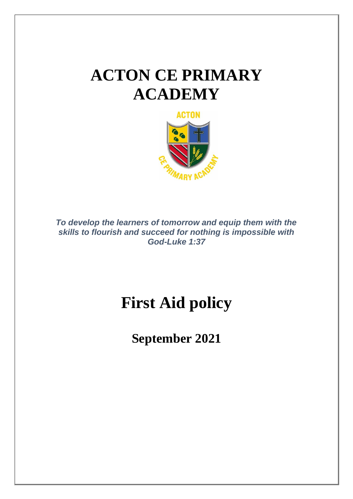# **ACTON CE PRIMARY ACADEMY**



*To develop the learners of tomorrow and equip them with the skills to flourish and succeed for nothing is impossible with God-Luke 1:37*

# **First Aid policy**

**September 2021**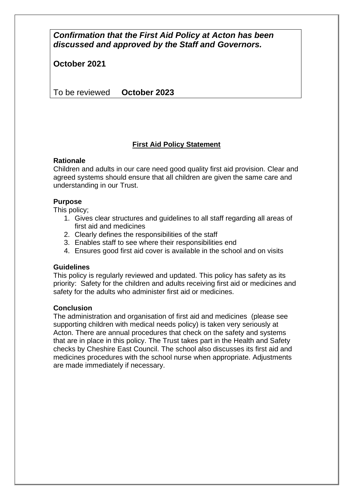# *Confirmation that the First Aid Policy at Acton has been discussed and approved by the Staff and Governors.*

**October 2021**

To be reviewed **October 2023**

# **First Aid Policy Statement**

# **Rationale**

Children and adults in our care need good quality first aid provision. Clear and agreed systems should ensure that all children are given the same care and understanding in our Trust.

# **Purpose**

This policy;

- 1. Gives clear structures and guidelines to all staff regarding all areas of first aid and medicines
- 2. Clearly defines the responsibilities of the staff
- 3. Enables staff to see where their responsibilities end
- 4. Ensures good first aid cover is available in the school and on visits

## **Guidelines**

This policy is regularly reviewed and updated. This policy has safety as its priority: Safety for the children and adults receiving first aid or medicines and safety for the adults who administer first aid or medicines.

## **Conclusion**

The administration and organisation of first aid and medicines (please see supporting children with medical needs policy) is taken very seriously at Acton. There are annual procedures that check on the safety and systems that are in place in this policy. The Trust takes part in the Health and Safety checks by Cheshire East Council. The school also discusses its first aid and medicines procedures with the school nurse when appropriate. Adjustments are made immediately if necessary.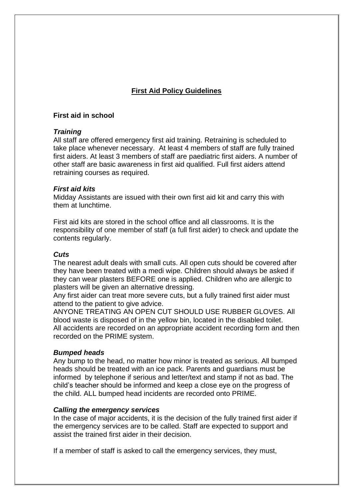# **First Aid Policy Guidelines**

#### **First aid in school**

#### *Training*

All staff are offered emergency first aid training. Retraining is scheduled to take place whenever necessary. At least 4 members of staff are fully trained first aiders. At least 3 members of staff are paediatric first aiders. A number of other staff are basic awareness in first aid qualified. Full first aiders attend retraining courses as required.

#### *First aid kits*

Midday Assistants are issued with their own first aid kit and carry this with them at lunchtime.

First aid kits are stored in the school office and all classrooms. It is the responsibility of one member of staff (a full first aider) to check and update the contents regularly.

## *Cuts*

The nearest adult deals with small cuts. All open cuts should be covered after they have been treated with a medi wipe. Children should always be asked if they can wear plasters BEFORE one is applied. Children who are allergic to plasters will be given an alternative dressing.

Any first aider can treat more severe cuts, but a fully trained first aider must attend to the patient to give advice.

ANYONE TREATING AN OPEN CUT SHOULD USE RUBBER GLOVES. All blood waste is disposed of in the yellow bin, located in the disabled toilet. All accidents are recorded on an appropriate accident recording form and then recorded on the PRIME system.

## *Bumped heads*

Any bump to the head, no matter how minor is treated as serious. All bumped heads should be treated with an ice pack. Parents and guardians must be informed by telephone if serious and letter/text and stamp if not as bad. The child's teacher should be informed and keep a close eye on the progress of the child. ALL bumped head incidents are recorded onto PRIME.

#### *Calling the emergency services*

In the case of major accidents, it is the decision of the fully trained first aider if the emergency services are to be called. Staff are expected to support and assist the trained first aider in their decision.

If a member of staff is asked to call the emergency services, they must,